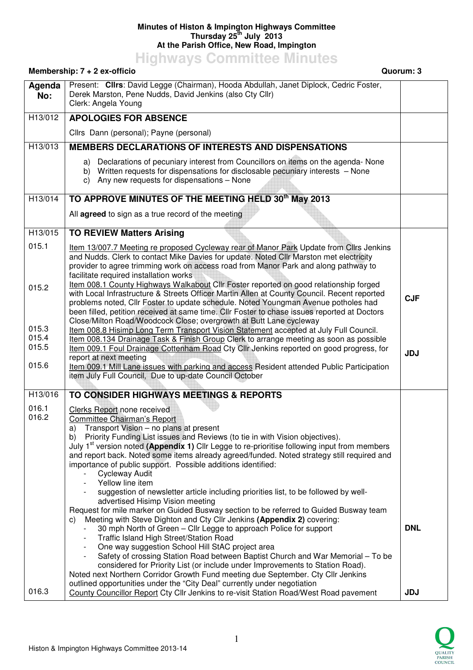## **Minutes of Histon & Impington Highways Committee Thursday 25th July 2013 At the Parish Office, New Road, Impington**

**Highways Committee Minutes** 

## **Membership: 7 + 2 ex-officio Quorum: 3 Agenda No:**  Present: **Cllrs**: David Legge (Chairman), Hooda Abdullah, Janet Diplock, Cedric Foster, Derek Marston, Pene Nudds, David Jenkins (also Cty Cllr) Clerk: Angela Young H13/012 **APOLOGIES FOR ABSENCE** Cllrs Dann (personal); Payne (personal) H13/013 **MEMBERS DECLARATIONS OF INTERESTS AND DISPENSATIONS** a) Declarations of pecuniary interest from Councillors on items on the agenda- None b) Written requests for dispensations for disclosable pecuniary interests – None c) Any new requests for dispensations – None H13/014 **TO APPROVE MINUTES OF THE MEETING HELD 30th May 2013** All **agreed** to sign as a true record of the meeting H13/015 015.1 015.2 015.3 015.4 015.5 015.6 **TO REVIEW Matters Arising** Item 13/007.7 Meeting re proposed Cycleway rear of Manor Park Update from Cllrs Jenkins and Nudds. Clerk to contact Mike Davies for update. Noted Cllr Marston met electricity provider to agree trimming work on access road from Manor Park and along pathway to facilitate required installation works Item 008.1 County Highways Walkabout Cllr Foster reported on good relationship forged with Local Infrastructure & Streets Officer Martin Allen at County Council. Recent reported problems noted, Cllr Foster to update schedule. Noted Youngman Avenue potholes had been filled, petition received at same time. Cllr Foster to chase issues reported at Doctors Close/Milton Road/Woodcock Close; overgrowth at Butt Lane cycleway Item 008.8 Hisimp Long Term Transport Vision Statement accepted at July Full Council. Item 008.134 Drainage Task & Finish Group Clerk to arrange meeting as soon as possible Item 009.1 Foul Drainage Cottenham Road Cty Cllr Jenkins reported on good progress, for report at next meeting Item 009.1 Mill Lane issues with parking and access Resident attended Public Participation item July Full Council, Due to up-date Council October **CJF JDJ**  H13/016 016.1 016.2 016.3 **TO CONSIDER HIGHWAYS MEETINGS & REPORTS** Clerks Report none received Committee Chairman's Report a) Transport Vision – no plans at present b) Priority Funding List issues and Reviews (to tie in with Vision objectives). July 1st version noted **(Appendix 1)** Cllr Legge to re-prioritise following input from members and report back. Noted some items already agreed/funded. Noted strategy still required and importance of public support. Possible additions identified: **Cycleway Audit** Yellow line item suggestion of newsletter article including priorities list, to be followed by welladvertised Hisimp Vision meeting Request for mile marker on Guided Busway section to be referred to Guided Busway team c) Meeting with Steve Dighton and Cty Cllr Jenkins **(Appendix 2)** covering: - 30 mph North of Green – Cllr Legge to approach Police for support - Traffic Island High Street/Station Road - One way suggestion School Hill StAC project area Safety of crossing Station Road between Baptist Church and War Memorial – To be considered for Priority List (or include under Improvements to Station Road). Noted next Northern Corridor Growth Fund meeting due September. Cty Cllr Jenkins outlined opportunities under the "City Deal" currently under negotiation County Councillor Report Cty Cllr Jenkins to re-visit Station Road/West Road pavement **DNL JDJ**